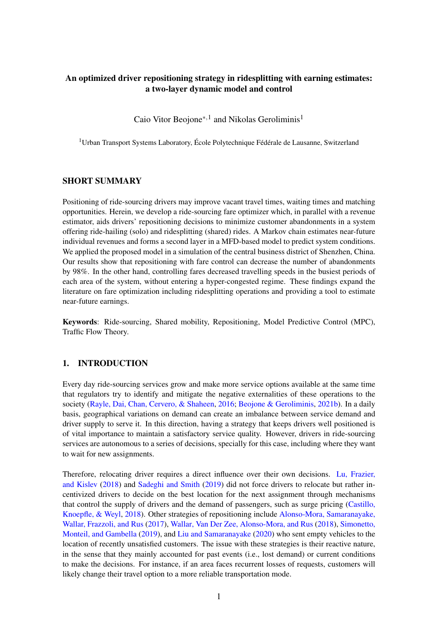# An optimized driver repositioning strategy in ridesplitting with earning estimates: a two-layer dynamic model and control

Caio Vitor Beojone<sup>∗, 1</sup> and Nikolas Geroliminis<sup>1</sup>

<sup>1</sup> Urban Transport Systems Laboratory, École Polytechnique Fédérale de Lausanne, Switzerland

# SHORT SUMMARY

Positioning of ride-sourcing drivers may improve vacant travel times, waiting times and matching opportunities. Herein, we develop a ride-sourcing fare optimizer which, in parallel with a revenue estimator, aids drivers' repositioning decisions to minimize customer abandonments in a system offering ride-hailing (solo) and ridesplitting (shared) rides. A Markov chain estimates near-future individual revenues and forms a second layer in a MFD-based model to predict system conditions. We applied the proposed model in a simulation of the central business district of Shenzhen, China. Our results show that repositioning with fare control can decrease the number of abandonments by 98%. In the other hand, controlling fares decreased travelling speeds in the busiest periods of each area of the system, without entering a hyper-congested regime. These findings expand the literature on fare optimization including ridesplitting operations and providing a tool to estimate near-future earnings.

Keywords: Ride-sourcing, Shared mobility, Repositioning, Model Predictive Control (MPC), Traffic Flow Theory.

### 1. INTRODUCTION

Every day ride-sourcing services grow and make more service options available at the same time that regulators try to identify and mitigate the negative externalities of these operations to the society [\(Rayle, Dai, Chan, Cervero, & Shaheen,](#page-6-0) [2016;](#page-6-0) [Beojone & Geroliminis,](#page-5-0) [2021b\)](#page-5-0). In a daily basis, geographical variations on demand can create an imbalance between service demand and driver supply to serve it. In this direction, having a strategy that keeps drivers well positioned is of vital importance to maintain a satisfactory service quality. However, drivers in ride-sourcing services are autonomous to a series of decisions, specially for this case, including where they want to wait for new assignments.

Therefore, relocating driver requires a direct influence over their own decisions. [Lu, Frazier,](#page-6-1) [and Kislev](#page-6-1) [\(2018\)](#page-6-1) and [Sadeghi and Smith](#page-6-2) [\(2019\)](#page-6-2) did not force drivers to relocate but rather incentivized drivers to decide on the best location for the next assignment through mechanisms that control the supply of drivers and the demand of passengers, such as surge pricing [\(Castillo,](#page-5-1) [Knoepfle, & Weyl,](#page-5-1) [2018\)](#page-5-1). Other strategies of repositioning include [Alonso-Mora, Samaranayake,](#page-5-2) [Wallar, Frazzoli, and Rus](#page-5-2) [\(2017\)](#page-5-2), [Wallar, Van Der Zee, Alonso-Mora, and Rus](#page-6-3) [\(2018\)](#page-6-3), [Simonetto,](#page-6-4) [Monteil, and Gambella](#page-6-4) [\(2019\)](#page-6-4), and [Liu and Samaranayake](#page-5-3) [\(2020\)](#page-5-3) who sent empty vehicles to the location of recently unsatisfied customers. The issue with these strategies is their reactive nature, in the sense that they mainly accounted for past events (i.e., lost demand) or current conditions to make the decisions. For instance, if an area faces recurrent losses of requests, customers will likely change their travel option to a more reliable transportation mode.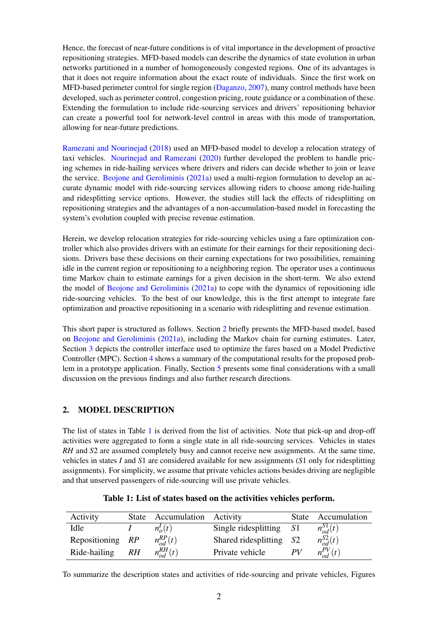Hence, the forecast of near-future conditions is of vital importance in the development of proactive repositioning strategies. MFD-based models can describe the dynamics of state evolution in urban networks partitioned in a number of homogeneously congested regions. One of its advantages is that it does not require information about the exact route of individuals. Since the first work on MFD-based perimeter control for single region [\(Daganzo,](#page-5-4) [2007\)](#page-5-4), many control methods have been developed, such as perimeter control, congestion pricing, route guidance or a combination of these. Extending the formulation to include ride-sourcing services and drivers' repositioning behavior can create a powerful tool for network-level control in areas with this mode of transportation, allowing for near-future predictions.

[Ramezani and Nourinejad](#page-6-5) [\(2018\)](#page-6-5) used an MFD-based model to develop a relocation strategy of taxi vehicles. [Nourinejad and Ramezani](#page-6-6) [\(2020\)](#page-6-6) further developed the problem to handle pricing schemes in ride-hailing services where drivers and riders can decide whether to join or leave the service. [Beojone and Geroliminis](#page-5-5) [\(2021a\)](#page-5-5) used a multi-region formulation to develop an accurate dynamic model with ride-sourcing services allowing riders to choose among ride-hailing and ridesplitting service options. However, the studies still lack the effects of ridesplitting on repositioning strategies and the advantages of a non-accumulation-based model in forecasting the system's evolution coupled with precise revenue estimation.

Herein, we develop relocation strategies for ride-sourcing vehicles using a fare optimization controller which also provides drivers with an estimate for their earnings for their repositioning decisions. Drivers base these decisions on their earning expectations for two possibilities, remaining idle in the current region or repositioning to a neighboring region. The operator uses a continuous time Markov chain to estimate earnings for a given decision in the short-term. We also extend the model of [Beojone and Geroliminis](#page-5-5) [\(2021a\)](#page-5-5) to cope with the dynamics of repositioning idle ride-sourcing vehicles. To the best of our knowledge, this is the first attempt to integrate fare optimization and proactive repositioning in a scenario with ridesplitting and revenue estimation.

This short paper is structured as follows. Section [2](#page-1-0) briefly presents the MFD-based model, based on [Beojone and Geroliminis](#page-5-5) [\(2021a\)](#page-5-5), including the Markov chain for earning estimates. Later, Section [3](#page-3-0) depicts the controller interface used to optimize the fares based on a Model Predictive Controller (MPC). Section [4](#page-4-0) shows a summary of the computational results for the proposed problem in a prototype application. Finally, Section [5](#page-4-1) presents some final considerations with a small discussion on the previous findings and also further research directions.

### <span id="page-1-0"></span>2. MODEL DESCRIPTION

The list of states in Table [1](#page-1-1) is derived from the list of activities. Note that pick-up and drop-off activities were aggregated to form a single state in all ride-sourcing services. Vehicles in states *RH* and *S*2 are assumed completely busy and cannot receive new assignments. At the same time, vehicles in states *I* and *S*1 are considered available for new assignments (*S*1 only for ridesplitting assignments). For simplicity, we assume that private vehicles actions besides driving are negligible and that unserved passengers of ride-sourcing will use private vehicles.

<span id="page-1-1"></span>

| Activity         |    | State Accumulation Activity |                         | <b>State</b> | Accumulation     |
|------------------|----|-----------------------------|-------------------------|--------------|------------------|
| Idle             |    | $n_{\alpha}^{I}(t)$         | Single ridesplitting    | -S1          | $n_{od}^{S1}(t)$ |
| Repositioning RP |    | $n_{od}^{RP}(t)$            | Shared ridesplitting S2 |              | $n_{od}^{S2}(t)$ |
| Ride-hailing     | RH | $n_{od}^{RH}(t)$            | Private vehicle         | PV           | $n_{od}^{PV}(t)$ |

Table 1: List of states based on the activities vehicles perform.

To summarize the description states and activities of ride-sourcing and private vehicles, Figures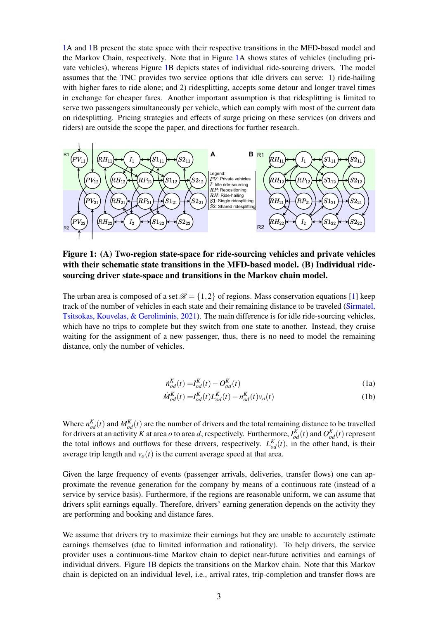[1A](#page-2-0) and [1B](#page-2-0) present the state space with their respective transitions in the MFD-based model and the Markov Chain, respectively. Note that in Figure [1A](#page-2-0) shows states of vehicles (including private vehicles), whereas Figure [1B](#page-2-0) depicts states of individual ride-sourcing drivers. The model assumes that the TNC provides two service options that idle drivers can serve: 1) ride-hailing with higher fares to ride alone; and 2) ridesplitting, accepts some detour and longer travel times in exchange for cheaper fares. Another important assumption is that ridesplitting is limited to serve two passengers simultaneously per vehicle, which can comply with most of the current data on ridesplitting. Pricing strategies and effects of surge pricing on these services (on drivers and riders) are outside the scope the paper, and directions for further research.

<span id="page-2-0"></span>

Figure 1: (A) Two-region state-space for ride-sourcing vehicles and private vehicles with their schematic state transitions in the MFD-based model. (B) Individual ridesourcing driver state-space and transitions in the Markov chain model.

<span id="page-2-1"></span>The urban area is composed of a set  $\mathcal{R} = \{1,2\}$  of regions. Mass conservation equations [\[1\]](#page-2-1) keep track of the number of vehicles in each state and their remaining distance to be traveled [\(Sirmatel,](#page-6-7) [Tsitsokas, Kouvelas, & Geroliminis,](#page-6-7) [2021\)](#page-6-7). The main difference is for idle ride-sourcing vehicles, which have no trips to complete but they switch from one state to another. Instead, they cruise waiting for the assignment of a new passenger, thus, there is no need to model the remaining distance, only the number of vehicles.

$$
\dot{n}_{od}^K(t) = I_{od}^K(t) - O_{od}^K(t)
$$
\n(1a)

$$
\dot{M}_{od}^{K}(t) = I_{od}^{K}(t)L_{od}^{K}(t) - n_{od}^{K}(t)v_{o}(t)
$$
\n(1b)

Where  $n_{od}^{K}(t)$  and  $M_{od}^{K}(t)$  are the number of drivers and the total remaining distance to be travelled for drivers at an activity *K* at area *o* to area *d*, respectively. Furthermore,  $I_{od}^K(t)$  and  $O_{od}^K(t)$  represent the total inflows and outflows for these drivers, respectively.  $L_{od}^{K}(t)$ , in the other hand, is their average trip length and  $v<sub>o</sub>(t)$  is the current average speed at that area.

Given the large frequency of events (passenger arrivals, deliveries, transfer flows) one can approximate the revenue generation for the company by means of a continuous rate (instead of a service by service basis). Furthermore, if the regions are reasonable uniform, we can assume that drivers split earnings equally. Therefore, drivers' earning generation depends on the activity they are performing and booking and distance fares.

We assume that drivers try to maximize their earnings but they are unable to accurately estimate earnings themselves (due to limited information and rationality). To help drivers, the service provider uses a continuous-time Markov chain to depict near-future activities and earnings of individual drivers. Figure [1B](#page-2-0) depicts the transitions on the Markov chain. Note that this Markov chain is depicted on an individual level, i.e., arrival rates, trip-completion and transfer flows are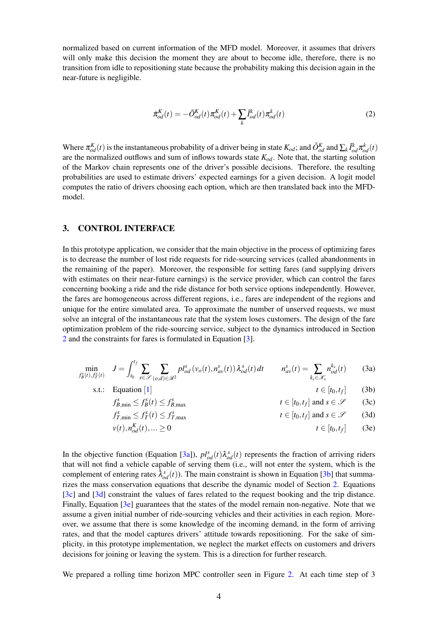normalized based on current information of the MFD model. Moreover, it assumes that drivers will only make this decision the moment they are about to become idle, therefore, there is no transition from idle to repositioning state because the probability making this decision again in the near-future is negligible.

$$
\dot{\pi}_{od}^K(t) = -\tilde{O}_{od}^K(t)\pi_{od}^K(t) + \sum_k \tilde{I}_{od}^k(t)\pi_{od}^k(t)
$$
\n(2)

Where  $\pi_{od}^{K}(t)$  is the instantaneous probability of a driver being in state  $K_{od}$ ; and  $\tilde{O}_{od}^{K}$  and  $\sum_{k} \tilde{I}_{od}^{k} \pi_{od}^{k}(t)$ are the normalized outflows and sum of inflows towards state  $K_{od}$ . Note that, the starting solution of the Markov chain represents one of the driver's possible decisions. Therefore, the resulting probabilities are used to estimate drivers' expected earnings for a given decision. A logit model computes the ratio of drivers choosing each option, which are then translated back into the MFDmodel.

#### <span id="page-3-0"></span>3. CONTROL INTERFACE

In this prototype application, we consider that the main objective in the process of optimizing fares is to decrease the number of lost ride requests for ride-sourcing services (called abandonments in the remaining of the paper). Moreover, the responsible for setting fares (and supplying drivers with estimates on their near-future earnings) is the service provider, which can control the fares concerning booking a ride and the ride distance for both service options independently. However, the fares are homogeneous across different regions, i.e., fares are independent of the regions and unique for the entire simulated area. To approximate the number of unserved requests, we must solve an integral of the instantaneous rate that the system loses customers. The design of the fare optimization problem of the ride-sourcing service, subject to the dynamics introduced in Section [2](#page-1-0) and the constraints for fares is formulated in Equation [\[3\]](#page-3-1).

<span id="page-3-1"></span>
$$
\min_{f_B^s(t), f_T^s(t)} \quad J = \int_{t_0}^{t_f} \sum_{s \in \mathcal{S}} \sum_{(o,d) \in \mathcal{R}^2} p l_{od}^s \left( v_o(t), n_{av}^s(t) \right) \lambda_{od}^s(t) dt \qquad n_{av}^s(t) = \sum_{k_s \in \mathcal{K}_s} n_{od}^{k_s}(t) \tag{3a}
$$

s.t.: Equation [[1](#page-2-1)]  $t \in [t_0, t_f]$ 

<span id="page-3-6"></span><span id="page-3-5"></span><span id="page-3-4"></span><span id="page-3-3"></span><span id="page-3-2"></span> $(3b)$ 

$$
f_{B,\min}^s \le f_B^s(t) \le f_{B,\max}^s \qquad \qquad t \in [t_0, t_f] \text{ and } s \in \mathcal{S} \qquad (3c)
$$

$$
f_{T,\min}^s \le f_T^s(t) \le f_{T,\max}^s \qquad \qquad t \in [t_0, t_f] \text{ and } s \in \mathcal{S} \qquad (3d)
$$

$$
v(t), n_{od}^K(t), \ldots \ge 0 \qquad \qquad t \in [t_0, t_f] \qquad (3e)
$$

In the objective function (Equation [\[3a\]](#page-3-2)),  $pl_{od}^{s}(t)\lambda_{od}^{s}(t)$  represents the fraction of arriving riders that will not find a vehicle capable of serving them (i.e., will not enter the system, which is the complement of entering rates  $\bar{\lambda}_{od}^{s}(t)$ ). The main constraint is shown in Equation [\[3b\]](#page-3-3) that summarizes the mass conservation equations that describe the dynamic model of Section [2.](#page-1-0) Equations [\[3c\]](#page-3-4) and [\[3d\]](#page-3-5) constraint the values of fares related to the request booking and the trip distance. Finally, Equation [\[3e\]](#page-3-6) guarantees that the states of the model remain non-negative. Note that we assume a given initial number of ride-sourcing vehicles and their activities in each region. Moreover, we assume that there is some knowledge of the incoming demand, in the form of arriving rates, and that the model captures drivers' attitude towards repositioning. For the sake of simplicity, in this prototype implementation, we neglect the market effects on customers and drivers decisions for joining or leaving the system. This is a direction for further research.

We prepared a rolling time horizon MPC controller seen in Figure [2.](#page-4-2) At each time step of 3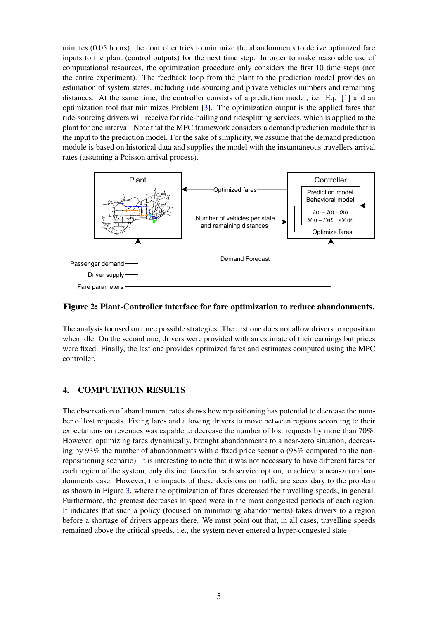minutes (0.05 hours), the controller tries to minimize the abandonments to derive optimized fare inputs to the plant (control outputs) for the next time step. In order to make reasonable use of computational resources, the optimization procedure only considers the first 10 time steps (not the entire experiment). The feedback loop from the plant to the prediction model provides an estimation of system states, including ride-sourcing and private vehicles numbers and remaining distances. At the same time, the controller consists of a prediction model, i.e. Eq. [\[1\]](#page-2-1) and an optimization tool that minimizes Problem [\[3\]](#page-3-1). The optimization output is the applied fares that ride-sourcing drivers will receive for ride-hailing and ridesplitting services, which is applied to the plant for one interval. Note that the MPC framework considers a demand prediction module that is the input to the prediction model. For the sake of simplicity, we assume that the demand prediction module is based on historical data and supplies the model with the instantaneous travellers arrival rates (assuming a Poisson arrival process).

<span id="page-4-2"></span>

## Figure 2: Plant-Controller interface for fare optimization to reduce abandonments.

The analysis focused on three possible strategies. The first one does not allow drivers to reposition when idle. On the second one, drivers were provided with an estimate of their earnings but prices were fixed. Finally, the last one provides optimized fares and estimates computed using the MPC controller.

## <span id="page-4-0"></span>4. COMPUTATION RESULTS

<span id="page-4-1"></span>The observation of abandonment rates shows how repositioning has potential to decrease the number of lost requests. Fixing fares and allowing drivers to move between regions according to their expectations on revenues was capable to decrease the number of lost requests by more than 70%. However, optimizing fares dynamically, brought abandonments to a near-zero situation, decreasing by 93% the number of abandonments with a fixed price scenario (98% compared to the nonrepositioning scenario). It is interesting to note that it was not necessary to have different fares for each region of the system, only distinct fares for each service option, to achieve a near-zero abandonments case. However, the impacts of these decisions on traffic are secondary to the problem as shown in Figure [3,](#page-5-6) where the optimization of fares decreased the travelling speeds, in general. Furthermore, the greatest decreases in speed were in the most congested periods of each region. It indicates that such a policy (focused on minimizing abandonments) takes drivers to a region before a shortage of drivers appears there. We must point out that, in all cases, travelling speeds remained above the critical speeds, i.e., the system never entered a hyper-congested state.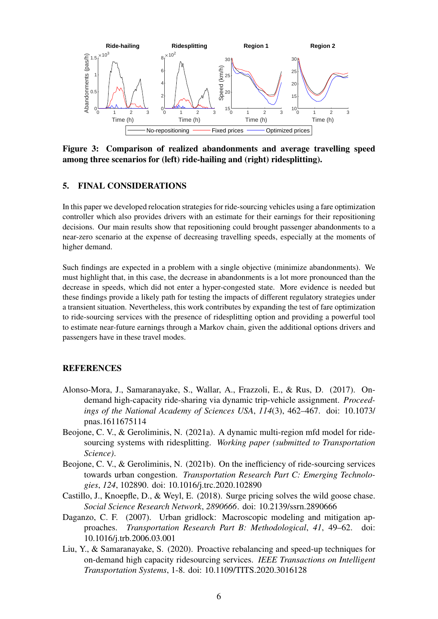<span id="page-5-6"></span>

Figure 3: Comparison of realized abandonments and average travelling speed among three scenarios for (left) ride-hailing and (right) ridesplitting).

## 5. FINAL CONSIDERATIONS

In this paper we developed relocation strategies for ride-sourcing vehicles using a fare optimization controller which also provides drivers with an estimate for their earnings for their repositioning decisions. Our main results show that repositioning could brought passenger abandonments to a near-zero scenario at the expense of decreasing travelling speeds, especially at the moments of higher demand.

Such findings are expected in a problem with a single objective (minimize abandonments). We must highlight that, in this case, the decrease in abandonments is a lot more pronounced than the decrease in speeds, which did not enter a hyper-congested state. More evidence is needed but these findings provide a likely path for testing the impacts of different regulatory strategies under a transient situation. Nevertheless, this work contributes by expanding the test of fare optimization to ride-sourcing services with the presence of ridesplitting option and providing a powerful tool to estimate near-future earnings through a Markov chain, given the additional options drivers and passengers have in these travel modes.

## **REFERENCES**

- <span id="page-5-2"></span>Alonso-Mora, J., Samaranayake, S., Wallar, A., Frazzoli, E., & Rus, D. (2017). Ondemand high-capacity ride-sharing via dynamic trip-vehicle assignment. *Proceedings of the National Academy of Sciences USA*, *114*(3), 462–467. doi: 10.1073/ pnas.1611675114
- <span id="page-5-5"></span>Beojone, C. V., & Geroliminis, N. (2021a). A dynamic multi-region mfd model for ridesourcing systems with ridesplitting. *Working paper (submitted to Transportation Science)*.
- <span id="page-5-0"></span>Beojone, C. V., & Geroliminis, N. (2021b). On the inefficiency of ride-sourcing services towards urban congestion. *Transportation Research Part C: Emerging Technologies*, *124*, 102890. doi: 10.1016/j.trc.2020.102890
- <span id="page-5-1"></span>Castillo, J., Knoepfle, D., & Weyl, E. (2018). Surge pricing solves the wild goose chase. *Social Science Research Network*, *2890666*. doi: 10.2139/ssrn.2890666
- <span id="page-5-4"></span>Daganzo, C. F. (2007). Urban gridlock: Macroscopic modeling and mitigation approaches. *Transportation Research Part B: Methodological*, *41*, 49–62. doi: 10.1016/j.trb.2006.03.001
- <span id="page-5-3"></span>Liu, Y., & Samaranayake, S. (2020). Proactive rebalancing and speed-up techniques for on-demand high capacity ridesourcing services. *IEEE Transactions on Intelligent Transportation Systems*, 1-8. doi: 10.1109/TITS.2020.3016128